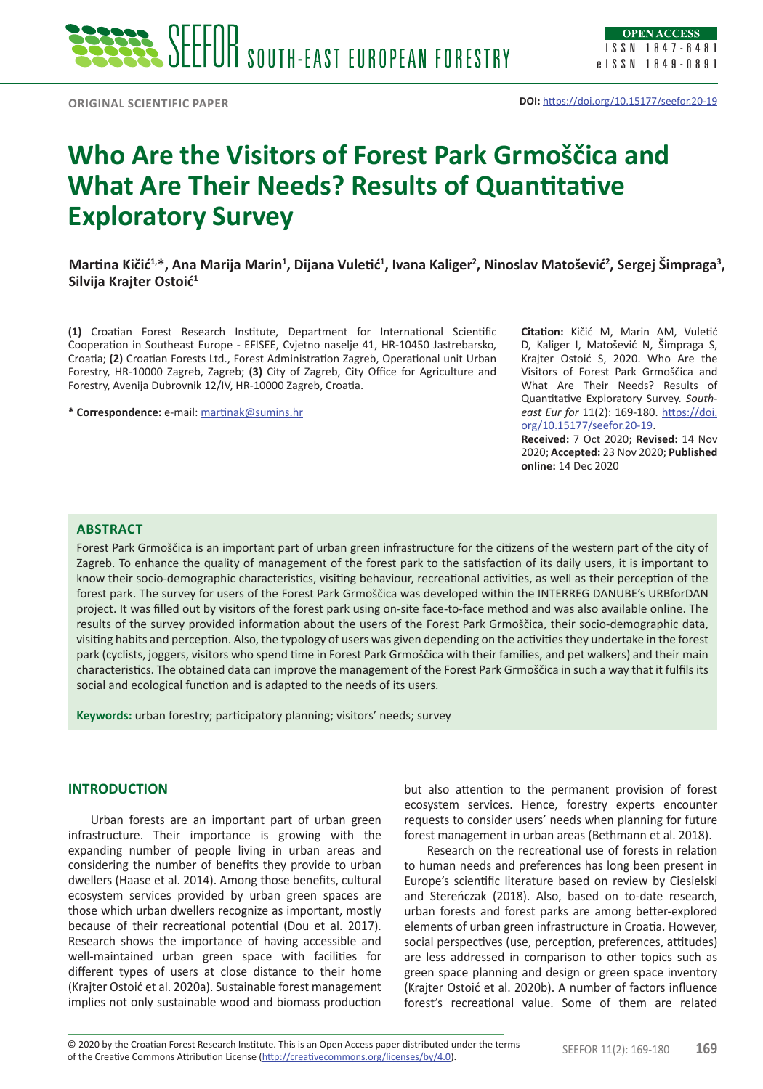

# **Who Are the Visitors of Forest Park Grmoščica and What Are Their Needs? Results of Quantitative Exploratory Survey**

 $\bm{M}$ artina Kičić<sup>1,</sup>\*, Ana Marija Marin<sup>1</sup>, Dijana Vuletić<sup>1</sup>, Ivana Kaliger<sup>2</sup>, Ninoslav Matošević<sup>2</sup>, Sergej Šimpraga<sup>3</sup>, **Silvija Krajter Ostoić<sup>1</sup>**

**(1)** Croatian Forest Research Institute, Department for International Scientific Cooperation in Southeast Europe - EFISEE, Cvjetno naselje 41, HR-10450 Jastrebarsko, Croatia; **(2)** Croatian Forests Ltd., Forest Administration Zagreb, Operational unit Urban Forestry, HR-10000 Zagreb, Zagreb; **(3)** City of Zagreb, City Office for Agriculture and Forestry, Avenija Dubrovnik 12/IV, HR-10000 Zagreb, Croatia.

**\* Correspondence:** e-mail: [martinak@sumins.hr](mailto:martinak@sumins.hr)

**Citation:** Kičić M, Marin AM, Vuletić D, Kaliger I, Matošević N, Šimpraga S, Krajter Ostoić S, 2020. Who Are the Visitors of Forest Park Grmoščica and What Are Their Needs? Results of Quantitative Exploratory Survey. *Southeast Eur for* 11(2): 169-180. [https://doi.](https://doi.org/10.15177/seefor.20-19) [org/10.15177/seefor.20-19](https://doi.org/10.15177/seefor.20-19).

**Received:** 7 Oct 2020; **Revised:** 14 Nov 2020; **Accepted:** 23 Nov 2020; **Published online:** 14 Dec 2020

## **Abstract**

Forest Park Grmoščica is an important part of urban green infrastructure for the citizens of the western part of the city of Zagreb. To enhance the quality of management of the forest park to the satisfaction of its daily users, it is important to know their socio-demographic characteristics, visiting behaviour, recreational activities, as well as their perception of the forest park. The survey for users of the Forest Park Grmoščica was developed within the INTERREG DANUBE's URBforDAN project. It was filled out by visitors of the forest park using on-site face-to-face method and was also available online. The results of the survey provided information about the users of the Forest Park Grmoščica, their socio-demographic data, visiting habits and perception. Also, the typology of users was given depending on the activities they undertake in the forest park (cyclists, joggers, visitors who spend time in Forest Park Grmoščica with their families, and pet walkers) and their main characteristics. The obtained data can improve the management of the Forest Park Grmoščica in such a way that it fulfils its social and ecological function and is adapted to the needs of its users.

**Keywords:** urban forestry; participatory planning; visitors' needs; survey

# **INTRODUCTION**

Urban forests are an important part of urban green infrastructure. Their importance is growing with the expanding number of people living in urban areas and considering the number of benefits they provide to urban dwellers (Haase et al. 2014). Among those benefits, cultural ecosystem services provided by urban green spaces are those which urban dwellers recognize as important, mostly because of their recreational potential (Dou et al. 2017). Research shows the importance of having accessible and well-maintained urban green space with facilities for different types of users at close distance to their home (Krajter Ostoić et al. 2020a). Sustainable forest management implies not only sustainable wood and biomass production but also attention to the permanent provision of forest ecosystem services. Hence, forestry experts encounter requests to consider users' needs when planning for future forest management in urban areas (Bethmann et al. 2018).

Research on the recreational use of forests in relation to human needs and preferences has long been present in Europe's scientific literature based on review by Ciesielski and Stereńczak (2018). Also, based on to-date research, urban forests and forest parks are among better-explored elements of urban green infrastructure in Croatia. However, social perspectives (use, perception, preferences, attitudes) are less addressed in comparison to other topics such as green space planning and design or green space inventory (Krajter Ostoić et al. 2020b). A number of factors influence forest's recreational value. Some of them are related

<sup>© 2020</sup> by the Croatian Forest Research Institute. This is an Open Access paper distributed under the terms<br>of the Creative Commons Attribution License (<u><http://creativecommons.org/licenses/by/4.0></u>). © 2020 by the Croatian Forest Research Institute. This is an Open Access paper distributed under the terms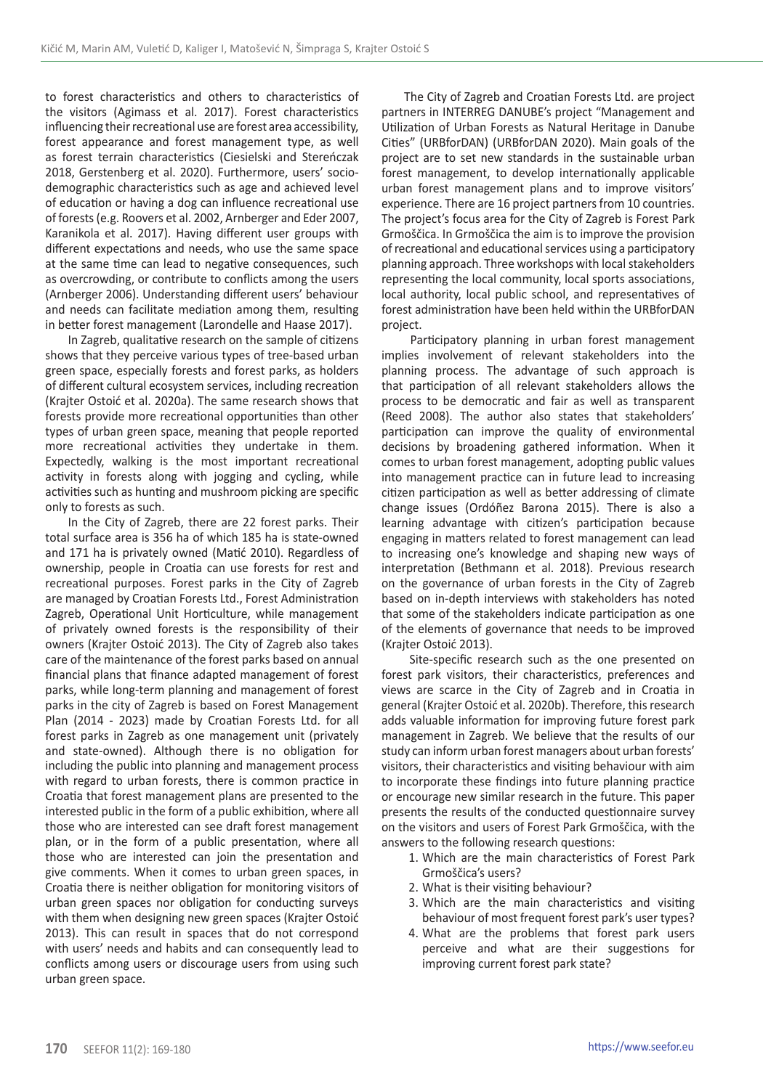to forest characteristics and others to characteristics of the visitors (Agimass et al. 2017). Forest characteristics influencing their recreational use are forest area accessibility, forest appearance and forest management type, as well as forest terrain characteristics (Ciesielski and Stereńczak 2018, Gerstenberg et al. 2020). Furthermore, users' sociodemographic characteristics such as age and achieved level of education or having a dog can influence recreational use of forests (e.g. Roovers et al. 2002, Arnberger and Eder 2007, Karanikola et al. 2017). Having different user groups with different expectations and needs, who use the same space at the same time can lead to negative consequences, such as overcrowding, or contribute to conflicts among the users (Arnberger 2006). Understanding different users' behaviour and needs can facilitate mediation among them, resulting in better forest management (Larondelle and Haase 2017).

In Zagreb, qualitative research on the sample of citizens shows that they perceive various types of tree-based urban green space, especially forests and forest parks, as holders of different cultural ecosystem services, including recreation (Krajter Ostoić et al. 2020a). The same research shows that forests provide more recreational opportunities than other types of urban green space, meaning that people reported more recreational activities they undertake in them. Expectedly, walking is the most important recreational activity in forests along with jogging and cycling, while activities such as hunting and mushroom picking are specific only to forests as such.

In the City of Zagreb, there are 22 forest parks. Their total surface area is 356 ha of which 185 ha is state-owned and 171 ha is privately owned (Matić 2010). Regardless of ownership, people in Croatia can use forests for rest and recreational purposes. Forest parks in the City of Zagreb are managed by Croatian Forests Ltd., Forest Administration Zagreb, Operational Unit Horticulture, while management of privately owned forests is the responsibility of their owners (Krajter Ostoić 2013). The City of Zagreb also takes care of the maintenance of the forest parks based on annual financial plans that finance adapted management of forest parks, while long-term planning and management of forest parks in the city of Zagreb is based on Forest Management Plan (2014 - 2023) made by Croatian Forests Ltd. for all forest parks in Zagreb as one management unit (privately and state-owned). Although there is no obligation for including the public into planning and management process with regard to urban forests, there is common practice in Croatia that forest management plans are presented to the interested public in the form of a public exhibition, where all those who are interested can see draft forest management plan, or in the form of a public presentation, where all those who are interested can join the presentation and give comments. When it comes to urban green spaces, in Croatia there is neither obligation for monitoring visitors of urban green spaces nor obligation for conducting surveys with them when designing new green spaces (Krajter Ostoić 2013). This can result in spaces that do not correspond with users' needs and habits and can consequently lead to conflicts among users or discourage users from using such urban green space.

The City of Zagreb and Croatian Forests Ltd. are project partners in INTERREG DANUBE's project "Management and Utilization of Urban Forests as Natural Heritage in Danube Cities" (URBforDAN) (URBforDAN 2020). Main goals of the project are to set new standards in the sustainable urban forest management, to develop internationally applicable urban forest management plans and to improve visitors' experience. There are 16 project partners from 10 countries. The project's focus area for the City of Zagreb is Forest Park Grmoščica. In Grmoščica the aim is to improve the provision of recreational and educational services using a participatory planning approach. Three workshops with local stakeholders representing the local community, local sports associations, local authority, local public school, and representatives of forest administration have been held within the URBforDAN project.

 Participatory planning in urban forest management implies involvement of relevant stakeholders into the planning process. The advantage of such approach is that participation of all relevant stakeholders allows the process to be democratic and fair as well as transparent (Reed 2008). The author also states that stakeholders' participation can improve the quality of environmental decisions by broadening gathered information. When it comes to urban forest management, adopting public values into management practice can in future lead to increasing citizen participation as well as better addressing of climate change issues (Ordóñez Barona 2015). There is also a learning advantage with citizen's participation because engaging in matters related to forest management can lead to increasing one's knowledge and shaping new ways of interpretation (Bethmann et al. 2018). Previous research on the governance of urban forests in the City of Zagreb based on in-depth interviews with stakeholders has noted that some of the stakeholders indicate participation as one of the elements of governance that needs to be improved (Krajter Ostoić 2013).

 Site-specific research such as the one presented on forest park visitors, their characteristics, preferences and views are scarce in the City of Zagreb and in Croatia in general (Krajter Ostoić et al. 2020b). Therefore, this research adds valuable information for improving future forest park management in Zagreb. We believe that the results of our study can inform urban forest managers about urban forests' visitors, their characteristics and visiting behaviour with aim to incorporate these findings into future planning practice or encourage new similar research in the future. This paper presents the results of the conducted questionnaire survey on the visitors and users of Forest Park Grmoščica, with the answers to the following research questions:

- 1. Which are the main characteristics of Forest Park Grmoščica's users?
- 2. What is their visiting behaviour?
- 3. Which are the main characteristics and visiting behaviour of most frequent forest park's user types?
- 4. What are the problems that forest park users perceive and what are their suggestions for improving current forest park state?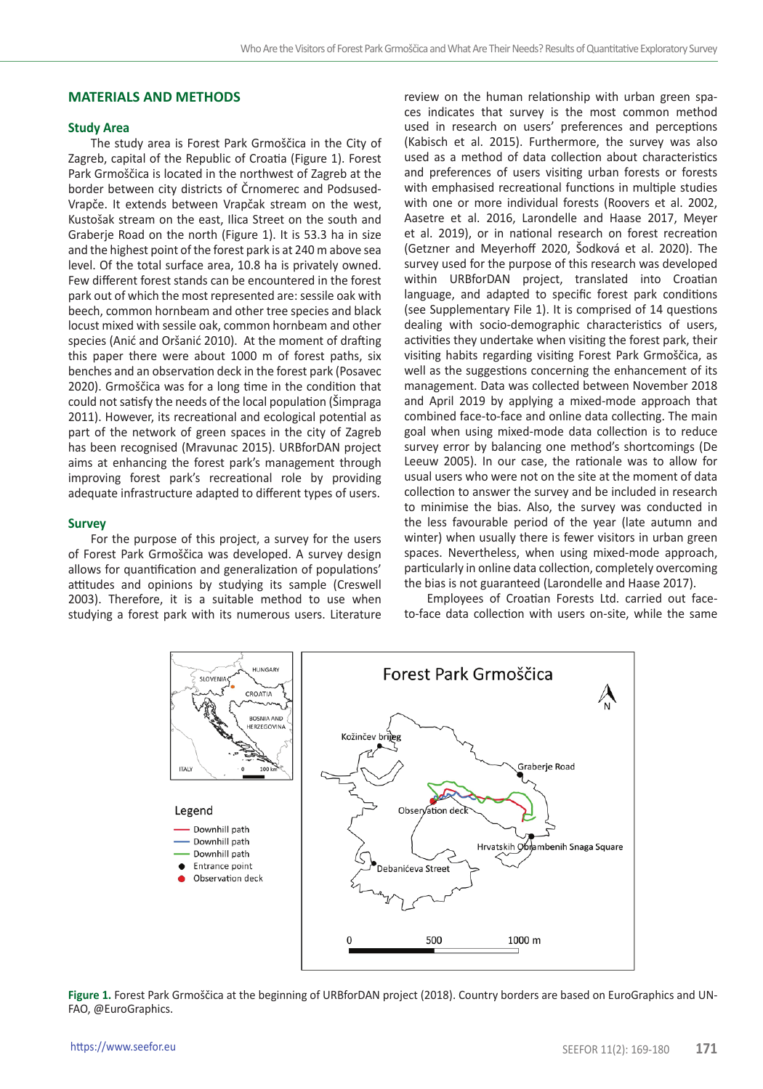# **MATERIALS AND METHODS**

# **Study Area**

The study area is Forest Park Grmoščica in the City of Zagreb, capital of the Republic of Croatia (Figure 1). Forest Park Grmoščica is located in the northwest of Zagreb at the border between city districts of Črnomerec and Podsused-Vrapče. It extends between Vrapčak stream on the west, Kustošak stream on the east, Ilica Street on the south and Graberje Road on the north (Figure 1). It is 53.3 ha in size and the highest point of the forest park is at 240 m above sea level. Of the total surface area, 10.8 ha is privately owned. Few different forest stands can be encountered in the forest park out of which the most represented are: sessile oak with beech, common hornbeam and other tree species and black locust mixed with sessile oak, common hornbeam and other species (Anić and Oršanić 2010). At the moment of drafting this paper there were about 1000 m of forest paths, six benches and an observation deck in the forest park (Posavec 2020). Grmoščica was for a long time in the condition that could not satisfy the needs of the local population (Šimpraga 2011). However, its recreational and ecological potential as part of the network of green spaces in the city of Zagreb has been recognised (Mravunac 2015). URBforDAN project aims at enhancing the forest park's management through improving forest park's recreational role by providing adequate infrastructure adapted to different types of users.

#### **Survey**

For the purpose of this project, a survey for the users of Forest Park Grmoščica was developed. A survey design allows for quantification and generalization of populations' attitudes and opinions by studying its sample (Creswell 2003). Therefore, it is a suitable method to use when studying a forest park with its numerous users. Literature

review on the human relationship with urban green spaces indicates that survey is the most common method used in research on users' preferences and perceptions (Kabisch et al. 2015). Furthermore, the survey was also used as a method of data collection about characteristics and preferences of users visiting urban forests or forests with emphasised recreational functions in multiple studies with one or more individual forests (Roovers et al. 2002, Aasetre et al. 2016, Larondelle and Haase 2017, Meyer et al. 2019), or in national research on forest recreation (Getzner and Meyerhoff 2020, Šodková et al. 2020). The survey used for the purpose of this research was developed within URBforDAN project, translated into Croatian language, and adapted to specific forest park conditions (see Supplementary File 1). It is comprised of 14 questions dealing with socio-demographic characteristics of users, activities they undertake when visiting the forest park, their visiting habits regarding visiting Forest Park Grmoščica, as well as the suggestions concerning the enhancement of its management. Data was collected between November 2018 and April 2019 by applying a mixed-mode approach that combined face-to-face and online data collecting. The main goal when using mixed-mode data collection is to reduce survey error by balancing one method's shortcomings (De Leeuw 2005). In our case, the rationale was to allow for usual users who were not on the site at the moment of data collection to answer the survey and be included in research to minimise the bias. Also, the survey was conducted in the less favourable period of the year (late autumn and winter) when usually there is fewer visitors in urban green spaces. Nevertheless, when using mixed-mode approach, particularly in online data collection, completely overcoming the bias is not guaranteed (Larondelle and Haase 2017).

Employees of Croatian Forests Ltd. carried out faceto-face data collection with users on-site, while the same



**Figure 1.** Forest Park Grmoščica at the beginning of URBforDAN project (2018). Country borders are based on EuroGraphics and UN-FAO, @EuroGraphics.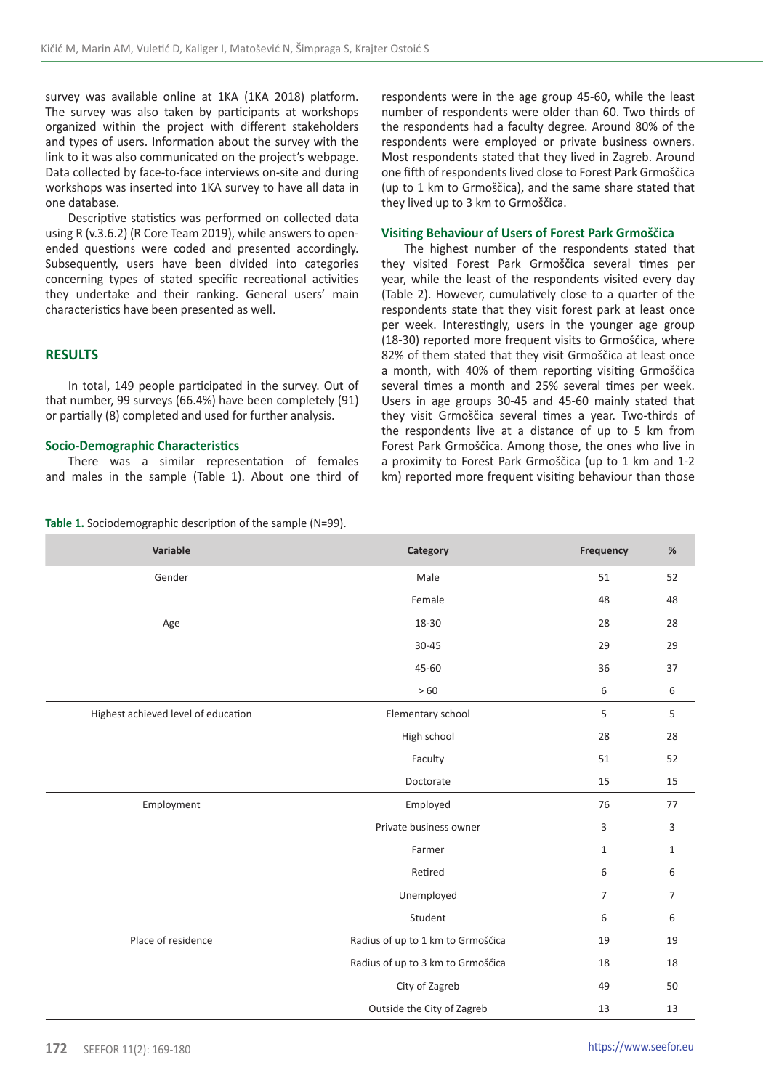survey was available online at 1KA (1KA 2018) platform. The survey was also taken by participants at workshops organized within the project with different stakeholders and types of users. Information about the survey with the link to it was also communicated on the project's webpage. Data collected by face-to-face interviews on-site and during workshops was inserted into 1KA survey to have all data in one database.

Descriptive statistics was performed on collected data using R (v.3.6.2) (R Core Team 2019), while answers to openended questions were coded and presented accordingly. Subsequently, users have been divided into categories concerning types of stated specific recreational activities they undertake and their ranking. General users' main characteristics have been presented as well.

# **RESULTS**

In total, 149 people participated in the survey. Out of that number, 99 surveys (66.4%) have been completely (91) or partially (8) completed and used for further analysis.

## **Socio-Demographic Characteristics**

There was a similar representation of females and males in the sample (Table 1). About one third of

**Table 1.** Sociodemographic description of the sample (N=99).

respondents were in the age group 45-60, while the least number of respondents were older than 60. Two thirds of the respondents had a faculty degree. Around 80% of the respondents were employed or private business owners. Most respondents stated that they lived in Zagreb. Around one fifth of respondents lived close to Forest Park Grmoščica (up to 1 km to Grmoščica), and the same share stated that they lived up to 3 km to Grmoščica.

## **Visiting Behaviour of Users of Forest Park Grmoščica**

The highest number of the respondents stated that they visited Forest Park Grmoščica several times per year, while the least of the respondents visited every day (Table 2). However, cumulatively close to a quarter of the respondents state that they visit forest park at least once per week. Interestingly, users in the younger age group (18-30) reported more frequent visits to Grmoščica, where 82% of them stated that they visit Grmoščica at least once a month, with 40% of them reporting visiting Grmoščica several times a month and 25% several times per week. Users in age groups 30-45 and 45-60 mainly stated that they visit Grmoščica several times a year. Two-thirds of the respondents live at a distance of up to 5 km from Forest Park Grmoščica. Among those, the ones who live in a proximity to Forest Park Grmoščica (up to 1 km and 1-2 km) reported more frequent visiting behaviour than those

| Variable                            | Category                          | Frequency      | $\%$         |
|-------------------------------------|-----------------------------------|----------------|--------------|
| Gender                              | Male                              | 51             | 52           |
|                                     | Female                            | 48             | 48           |
| Age                                 | 18-30                             | 28             | 28           |
|                                     | $30 - 45$                         | 29             | 29           |
|                                     | 45-60                             | 36             | 37           |
|                                     | >60                               | 6              | 6            |
| Highest achieved level of education | Elementary school                 | 5              | 5            |
|                                     | High school                       | 28             | 28           |
|                                     | Faculty                           | 51             | 52           |
|                                     | Doctorate                         | 15             | 15           |
| Employment                          | Employed                          | 76             | 77           |
|                                     | Private business owner            | 3              | 3            |
|                                     | Farmer                            | $\mathbf{1}$   | $\mathbf{1}$ |
|                                     | Retired                           | 6              | 6            |
|                                     | Unemployed                        | $\overline{7}$ | 7            |
|                                     | Student                           | 6              | 6            |
| Place of residence                  | Radius of up to 1 km to Grmoščica | 19             | 19           |
|                                     | Radius of up to 3 km to Grmoščica | 18             | 18           |
|                                     | City of Zagreb                    | 49             | 50           |
|                                     | Outside the City of Zagreb        | 13             | 13           |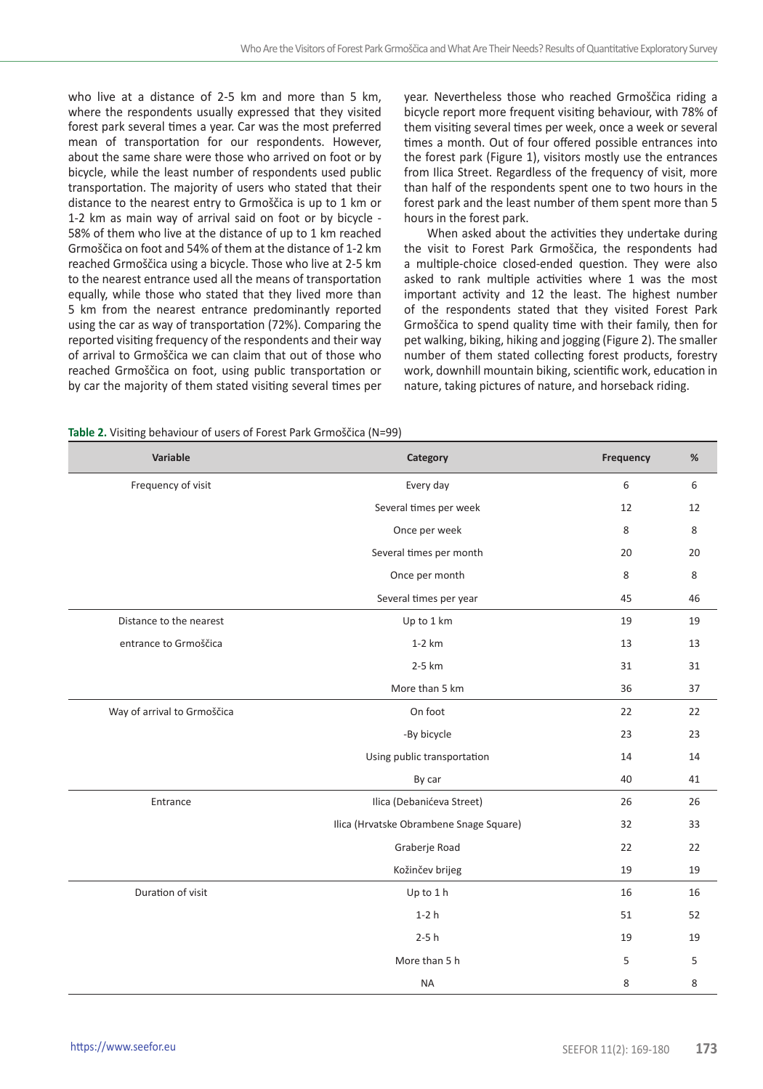who live at a distance of 2-5 km and more than 5 km, where the respondents usually expressed that they visited forest park several times a year. Car was the most preferred mean of transportation for our respondents. However, about the same share were those who arrived on foot or by bicycle, while the least number of respondents used public transportation. The majority of users who stated that their distance to the nearest entry to Grmoščica is up to 1 km or 1-2 km as main way of arrival said on foot or by bicycle - 58% of them who live at the distance of up to 1 km reached Grmoščica on foot and 54% of them at the distance of 1-2 km reached Grmoščica using a bicycle. Those who live at 2-5 km to the nearest entrance used all the means of transportation equally, while those who stated that they lived more than 5 km from the nearest entrance predominantly reported using the car as way of transportation (72%). Comparing the reported visiting frequency of the respondents and their way of arrival to Grmoščica we can claim that out of those who reached Grmoščica on foot, using public transportation or by car the majority of them stated visiting several times per

year. Nevertheless those who reached Grmoščica riding a bicycle report more frequent visiting behaviour, with 78% of them visiting several times per week, once a week or several times a month. Out of four offered possible entrances into the forest park (Figure 1), visitors mostly use the entrances from Ilica Street. Regardless of the frequency of visit, more than half of the respondents spent one to two hours in the forest park and the least number of them spent more than 5 hours in the forest park.

When asked about the activities they undertake during the visit to Forest Park Grmoščica, the respondents had a multiple-choice closed-ended question. They were also asked to rank multiple activities where 1 was the most important activity and 12 the least. The highest number of the respondents stated that they visited Forest Park Grmoščica to spend quality time with their family, then for pet walking, biking, hiking and jogging (Figure 2). The smaller number of them stated collecting forest products, forestry work, downhill mountain biking, scientific work, education in nature, taking pictures of nature, and horseback riding.

**Table 2.** Visiting behaviour of users of Forest Park Grmoščica (N=99)

| Variable                    | Category                                | Frequency | $\%$ |
|-----------------------------|-----------------------------------------|-----------|------|
| Frequency of visit          | Every day                               | 6         | 6    |
|                             | Several times per week                  | 12        | 12   |
|                             | Once per week                           | 8         | 8    |
|                             | Several times per month                 | 20        | 20   |
|                             | Once per month                          | 8         | 8    |
|                             | Several times per year                  | 45        | 46   |
| Distance to the nearest     | Up to 1 km                              | 19        | 19   |
| entrance to Grmoščica       | $1-2$ km                                | 13        | 13   |
|                             | 2-5 km                                  | 31        | 31   |
|                             | More than 5 km                          | 36        | 37   |
| Way of arrival to Grmoščica | On foot                                 | 22        | 22   |
|                             | -By bicycle                             | 23        | 23   |
|                             | Using public transportation             | 14        | 14   |
|                             | By car                                  | 40        | 41   |
| Entrance                    | Ilica (Debanićeva Street)               | 26        | 26   |
|                             | Ilica (Hrvatske Obrambene Snage Square) | 32        | 33   |
|                             | Graberje Road                           | 22        | 22   |
|                             | Kožinčev brijeg                         | 19        | 19   |
| Duration of visit           | Up to 1 h                               | 16        | 16   |
|                             | $1-2h$                                  | 51        | 52   |
|                             | $2-5h$                                  | 19        | 19   |
|                             | More than 5 h                           | 5         | 5    |
|                             | <b>NA</b>                               | 8         | 8    |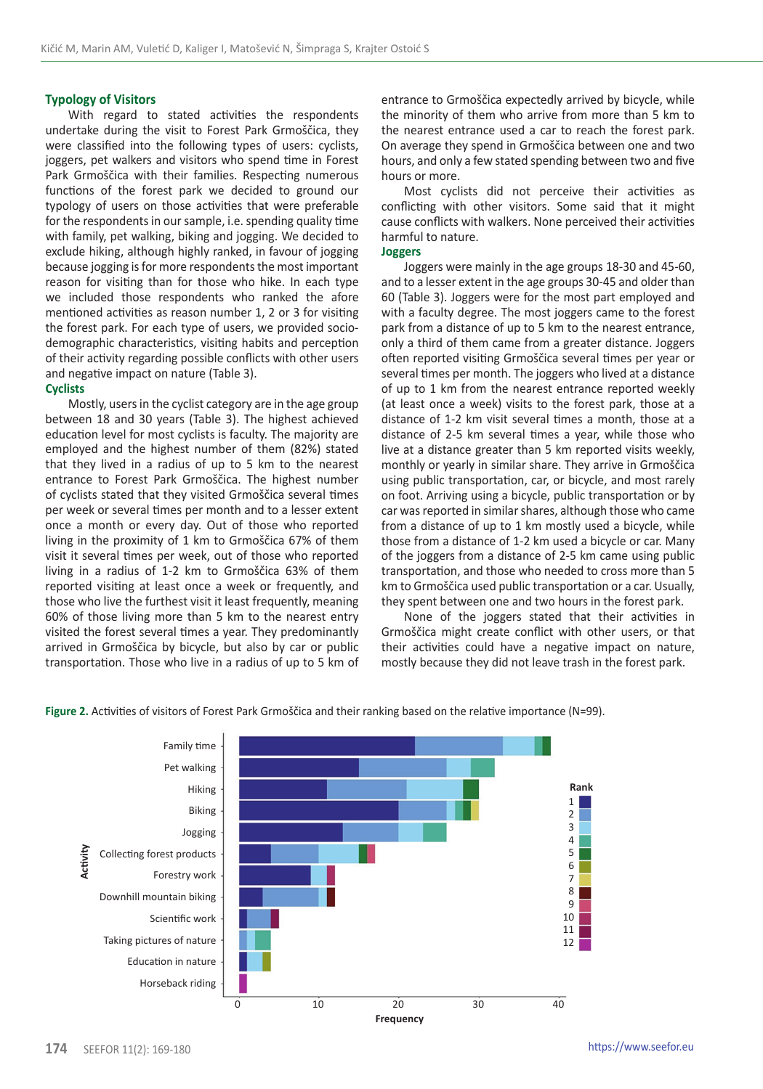# **Typology of Visitors**

With regard to stated activities the respondents undertake during the visit to Forest Park Grmoščica, they were classified into the following types of users: cyclists, joggers, pet walkers and visitors who spend time in Forest Park Grmoščica with their families. Respecting numerous functions of the forest park we decided to ground our typology of users on those activities that were preferable for the respondents in our sample, i.e. spending quality time with family, pet walking, biking and jogging. We decided to exclude hiking, although highly ranked, in favour of jogging because jogging is for more respondents the most important reason for visiting than for those who hike. In each type we included those respondents who ranked the afore mentioned activities as reason number 1, 2 or 3 for visiting the forest park. For each type of users, we provided sociodemographic characteristics, visiting habits and perception of their activity regarding possible conflicts with other users and negative impact on nature (Table 3).

## **Cyclists**

Mostly, users in the cyclist category are in the age group between 18 and 30 years (Table 3). The highest achieved education level for most cyclists is faculty. The majority are employed and the highest number of them (82%) stated that they lived in a radius of up to 5 km to the nearest entrance to Forest Park Grmoščica. The highest number of cyclists stated that they visited Grmoščica several times per week or several times per month and to a lesser extent once a month or every day. Out of those who reported living in the proximity of 1 km to Grmoščica 67% of them visit it several times per week, out of those who reported living in a radius of 1-2 km to Grmoščica 63% of them reported visiting at least once a week or frequently, and those who live the furthest visit it least frequently, meaning 60% of those living more than 5 km to the nearest entry visited the forest several times a year. They predominantly arrived in Grmoščica by bicycle, but also by car or public transportation. Those who live in a radius of up to 5 km of entrance to Grmoščica expectedly arrived by bicycle, while the minority of them who arrive from more than 5 km to the nearest entrance used a car to reach the forest park. On average they spend in Grmoščica between one and two hours, and only a few stated spending between two and five hours or more.

Most cyclists did not perceive their activities as conflicting with other visitors. Some said that it might cause conflicts with walkers. None perceived their activities harmful to nature.

# **Joggers**

Joggers were mainly in the age groups 18-30 and 45-60, and to a lesser extent in the age groups 30-45 and older than 60 (Table 3). Joggers were for the most part employed and with a faculty degree. The most joggers came to the forest park from a distance of up to 5 km to the nearest entrance, only a third of them came from a greater distance. Joggers often reported visiting Grmoščica several times per year or several times per month. The joggers who lived at a distance of up to 1 km from the nearest entrance reported weekly (at least once a week) visits to the forest park, those at a distance of 1-2 km visit several times a month, those at a distance of 2-5 km several times a year, while those who live at a distance greater than 5 km reported visits weekly, monthly or yearly in similar share. They arrive in Grmoščica using public transportation, car, or bicycle, and most rarely on foot. Arriving using a bicycle, public transportation or by car was reported in similar shares, although those who came from a distance of up to 1 km mostly used a bicycle, while those from a distance of 1-2 km used a bicycle or car. Many of the joggers from a distance of 2-5 km came using public transportation, and those who needed to cross more than 5 km to Grmoščica used public transportation or a car. Usually, they spent between one and two hours in the forest park.

None of the joggers stated that their activities in Grmoščica might create conflict with other users, or that their activities could have a negative impact on nature, mostly because they did not leave trash in the forest park.



**Figure 2.** Activities of visitors of Forest Park Grmoščica and their ranking based on the relative importance (N=99).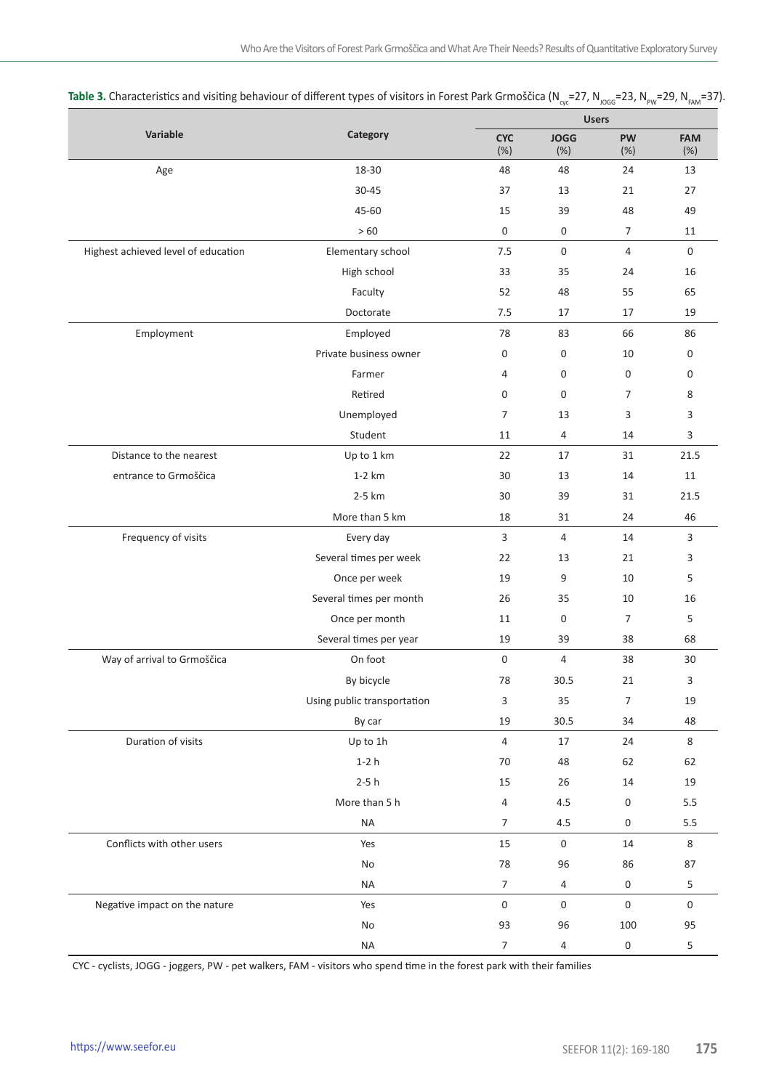|                                     |                             |                    |                | <b>Users</b>      |             |  |  |
|-------------------------------------|-----------------------------|--------------------|----------------|-------------------|-------------|--|--|
| Variable<br>Category                | <b>CYC</b><br>(%)           | <b>JOGG</b><br>(%) | PW<br>(%)      | <b>FAM</b><br>(%) |             |  |  |
| Age                                 | 18-30                       | 48                 | 48             | 24                | 13          |  |  |
|                                     | 30-45                       | 37                 | 13             | 21                | 27          |  |  |
|                                     | 45-60                       | 15                 | 39             | 48                | 49          |  |  |
|                                     | >60                         | 0                  | 0              | $\overline{7}$    | 11          |  |  |
| Highest achieved level of education | Elementary school           | 7.5                | 0              | $\overline{4}$    | $\mathbf 0$ |  |  |
|                                     | High school                 | 33                 | 35             | 24                | 16          |  |  |
|                                     | Faculty                     | 52                 | 48             | 55                | 65          |  |  |
|                                     | Doctorate                   | 7.5                | 17             | 17                | 19          |  |  |
| Employment                          | Employed                    | 78                 | 83             | 66                | 86          |  |  |
|                                     | Private business owner      | 0                  | 0              | 10                | 0           |  |  |
|                                     | Farmer                      | 4                  | 0              | 0                 | 0           |  |  |
|                                     | Retired                     | 0                  | 0              | $\overline{7}$    | 8           |  |  |
|                                     | Unemployed                  | $\overline{7}$     | 13             | 3                 | 3           |  |  |
|                                     | Student                     | 11                 | $\overline{4}$ | 14                | 3           |  |  |
| Distance to the nearest             | Up to 1 km                  | 22                 | 17             | 31                | 21.5        |  |  |
| entrance to Grmoščica               | $1-2$ km                    | 30                 | 13             | 14                | 11          |  |  |
|                                     | 2-5 km                      | 30                 | 39             | 31                | 21.5        |  |  |
|                                     | More than 5 km              | 18                 | 31             | 24                | 46          |  |  |
| Frequency of visits                 | Every day                   | 3                  | $\overline{4}$ | 14                | 3           |  |  |
|                                     | Several times per week      | 22                 | 13             | 21                | 3           |  |  |
|                                     | Once per week               | 19                 | 9              | 10                | 5           |  |  |
|                                     | Several times per month     | 26                 | 35             | 10                | 16          |  |  |
|                                     | Once per month              | 11                 | 0              | $\overline{7}$    | 5           |  |  |
|                                     | Several times per year      | 19                 | 39             | 38                | 68          |  |  |
| Way of arrival to Grmoščica         | On foot                     | 0                  | 4              | 38                | 30          |  |  |
|                                     | By bicycle                  | 78                 | 30.5           | 21                | 3           |  |  |
|                                     | Using public transportation | 3                  | 35             | $\overline{7}$    | 19          |  |  |
|                                     | By car                      | 19                 | 30.5           | 34                | 48          |  |  |
| Duration of visits                  | Up to 1h                    | $\overline{4}$     | 17             | 24                | 8           |  |  |
|                                     | $1-2h$                      | 70                 | 48             | 62                | 62          |  |  |
|                                     | $2-5h$                      | 15                 | 26             | 14                | 19          |  |  |
|                                     | More than 5 h               | 4                  | 4.5            | 0                 | 5.5         |  |  |
|                                     | NA                          | $\overline{7}$     | 4.5            | 0                 | 5.5         |  |  |
| Conflicts with other users          | Yes                         | 15                 | $\pmb{0}$      | 14                | 8           |  |  |
|                                     | No                          | 78                 | 96             | 86                | 87          |  |  |
|                                     | <b>NA</b>                   | $\overline{7}$     | 4              | 0                 | 5           |  |  |
| Negative impact on the nature       | Yes                         | 0                  | $\pmb{0}$      | $\mathsf 0$       | 0           |  |  |
|                                     | No                          | 93                 | 96             | 100               | 95          |  |  |
|                                     | <b>NA</b>                   | $\overline{7}$     | 4              | 0                 | $\sf 5$     |  |  |

| <b>Table 3.</b> Characteristics and visiting behaviour of different types of visitors in Forest Park Grmoščica (N <sub>cv</sub> =27, N <sub>JoGG</sub> =23, N <sub>Pw</sub> =29, N <sub>FAM</sub> =37). |  |  |  |  |
|---------------------------------------------------------------------------------------------------------------------------------------------------------------------------------------------------------|--|--|--|--|
|---------------------------------------------------------------------------------------------------------------------------------------------------------------------------------------------------------|--|--|--|--|

CYC - cyclists, JOGG - joggers, PW - pet walkers, FAM - visitors who spend time in the forest park with their families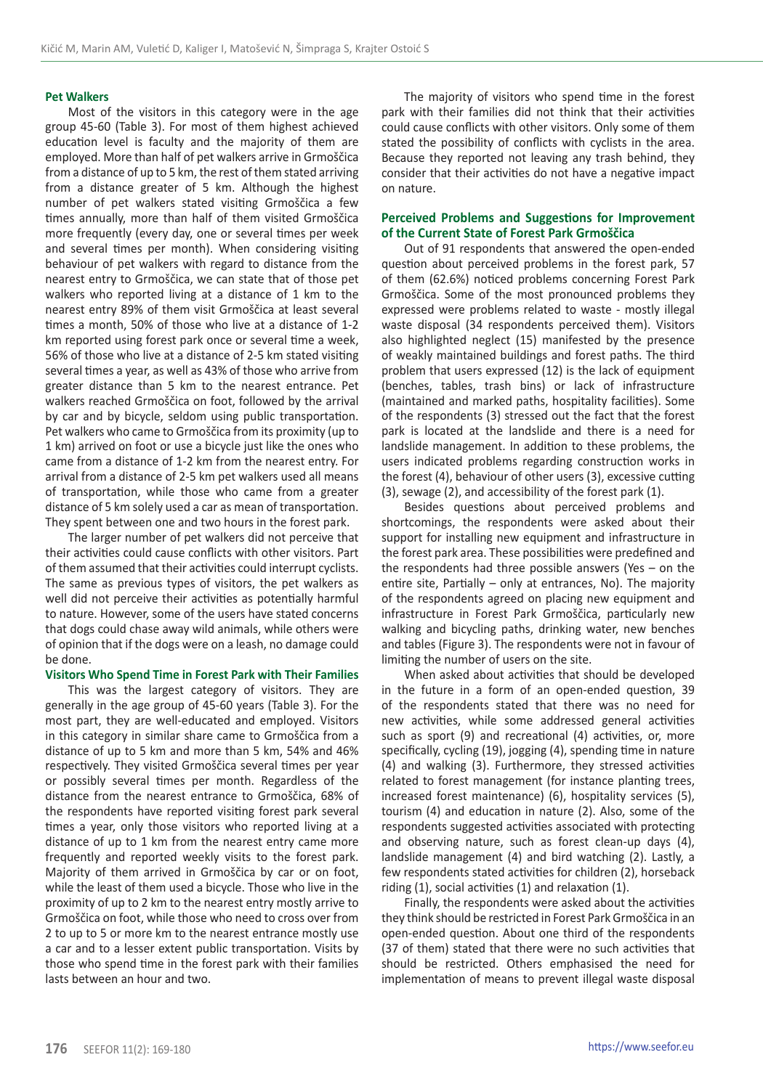#### **Pet Walkers**

Most of the visitors in this category were in the age group 45-60 (Table 3). For most of them highest achieved education level is faculty and the majority of them are employed. More than half of pet walkers arrive in Grmoščica from a distance of up to 5 km, the rest of them stated arriving from a distance greater of 5 km. Although the highest number of pet walkers stated visiting Grmoščica a few times annually, more than half of them visited Grmoščica more frequently (every day, one or several times per week and several times per month). When considering visiting behaviour of pet walkers with regard to distance from the nearest entry to Grmoščica, we can state that of those pet walkers who reported living at a distance of 1 km to the nearest entry 89% of them visit Grmoščica at least several times a month, 50% of those who live at a distance of 1-2 km reported using forest park once or several time a week, 56% of those who live at a distance of 2-5 km stated visiting several times a year, as well as 43% of those who arrive from greater distance than 5 km to the nearest entrance. Pet walkers reached Grmoščica on foot, followed by the arrival by car and by bicycle, seldom using public transportation. Pet walkers who came to Grmoščica from its proximity (up to 1 km) arrived on foot or use a bicycle just like the ones who came from a distance of 1-2 km from the nearest entry. For arrival from a distance of 2-5 km pet walkers used all means of transportation, while those who came from a greater distance of 5 km solely used a car as mean of transportation. They spent between one and two hours in the forest park.

The larger number of pet walkers did not perceive that their activities could cause conflicts with other visitors. Part of them assumed that their activities could interrupt cyclists. The same as previous types of visitors, the pet walkers as well did not perceive their activities as potentially harmful to nature. However, some of the users have stated concerns that dogs could chase away wild animals, while others were of opinion that if the dogs were on a leash, no damage could be done.

#### **Visitors Who Spend Time in Forest Park with Their Families**

This was the largest category of visitors. They are generally in the age group of 45-60 years (Table 3). For the most part, they are well-educated and employed. Visitors in this category in similar share came to Grmoščica from a distance of up to 5 km and more than 5 km, 54% and 46% respectively. They visited Grmoščica several times per year or possibly several times per month. Regardless of the distance from the nearest entrance to Grmoščica, 68% of the respondents have reported visiting forest park several times a year, only those visitors who reported living at a distance of up to 1 km from the nearest entry came more frequently and reported weekly visits to the forest park. Majority of them arrived in Grmoščica by car or on foot, while the least of them used a bicycle. Those who live in the proximity of up to 2 km to the nearest entry mostly arrive to Grmoščica on foot, while those who need to cross over from 2 to up to 5 or more km to the nearest entrance mostly use a car and to a lesser extent public transportation. Visits by those who spend time in the forest park with their families lasts between an hour and two.

The majority of visitors who spend time in the forest park with their families did not think that their activities could cause conflicts with other visitors. Only some of them stated the possibility of conflicts with cyclists in the area. Because they reported not leaving any trash behind, they consider that their activities do not have a negative impact on nature.

# **Perceived Problems and Suggestions for Improvement of the Current State of Forest Park Grmoščica**

Out of 91 respondents that answered the open-ended question about perceived problems in the forest park, 57 of them (62.6%) noticed problems concerning Forest Park Grmoščica. Some of the most pronounced problems they expressed were problems related to waste - mostly illegal waste disposal (34 respondents perceived them). Visitors also highlighted neglect (15) manifested by the presence of weakly maintained buildings and forest paths. The third problem that users expressed (12) is the lack of equipment (benches, tables, trash bins) or lack of infrastructure (maintained and marked paths, hospitality facilities). Some of the respondents (3) stressed out the fact that the forest park is located at the landslide and there is a need for landslide management. In addition to these problems, the users indicated problems regarding construction works in the forest (4), behaviour of other users (3), excessive cutting (3), sewage (2), and accessibility of the forest park (1).

Besides questions about perceived problems and shortcomings, the respondents were asked about their support for installing new equipment and infrastructure in the forest park area. These possibilities were predefined and the respondents had three possible answers (Yes – on the entire site, Partially – only at entrances, No). The majority of the respondents agreed on placing new equipment and infrastructure in Forest Park Grmoščica, particularly new walking and bicycling paths, drinking water, new benches and tables (Figure 3). The respondents were not in favour of limiting the number of users on the site.

When asked about activities that should be developed in the future in a form of an open-ended question, 39 of the respondents stated that there was no need for new activities, while some addressed general activities such as sport (9) and recreational (4) activities, or, more specifically, cycling (19), jogging (4), spending time in nature (4) and walking (3). Furthermore, they stressed activities related to forest management (for instance planting trees, increased forest maintenance) (6), hospitality services (5), tourism (4) and education in nature (2). Also, some of the respondents suggested activities associated with protecting and observing nature, such as forest clean-up days (4), landslide management (4) and bird watching (2). Lastly, a few respondents stated activities for children (2), horseback riding (1), social activities (1) and relaxation (1).

Finally, the respondents were asked about the activities they think should be restricted in Forest Park Grmoščica in an open-ended question. About one third of the respondents (37 of them) stated that there were no such activities that should be restricted. Others emphasised the need for implementation of means to prevent illegal waste disposal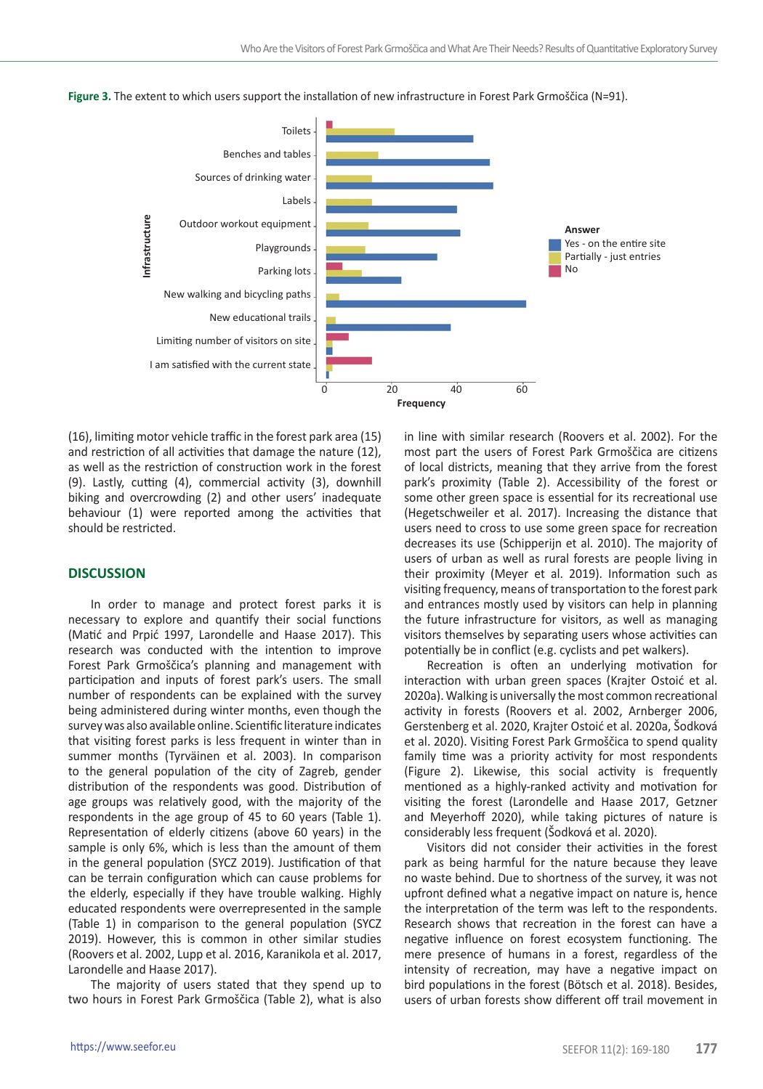

**Figure 3.** The extent to which users support the installation of new infrastructure in Forest Park Grmoščica (N=91).

(16), limiting motor vehicle traffic in the forest park area (15) and restriction of all activities that damage the nature (12), as well as the restriction of construction work in the forest (9). Lastly, cutting (4), commercial activity (3), downhill biking and overcrowding (2) and other users' inadequate behaviour (1) were reported among the activities that should be restricted.

# **DISCUSSION**

In order to manage and protect forest parks it is necessary to explore and quantify their social functions (Matić and Prpić 1997, Larondelle and Haase 2017). This research was conducted with the intention to improve Forest Park Grmoščica's planning and management with participation and inputs of forest park's users. The small number of respondents can be explained with the survey being administered during winter months, even though the survey was also available online. Scientific literature indicates that visiting forest parks is less frequent in winter than in summer months (Tyrväinen et al. 2003). In comparison to the general population of the city of Zagreb, gender distribution of the respondents was good. Distribution of age groups was relatively good, with the majority of the respondents in the age group of 45 to 60 years (Table 1). Representation of elderly citizens (above 60 years) in the sample is only 6%, which is less than the amount of them in the general population (SYCZ 2019). Justification of that can be terrain configuration which can cause problems for the elderly, especially if they have trouble walking. Highly educated respondents were overrepresented in the sample (Table 1) in comparison to the general population (SYCZ 2019). However, this is common in other similar studies (Roovers et al. 2002, Lupp et al. 2016, Karanikola et al. 2017, Larondelle and Haase 2017).

The majority of users stated that they spend up to two hours in Forest Park Grmoščica (Table 2), what is also

in line with similar research (Roovers et al. 2002). For the most part the users of Forest Park Grmoščica are citizens of local districts, meaning that they arrive from the forest park's proximity (Table 2). Accessibility of the forest or some other green space is essential for its recreational use (Hegetschweiler et al. 2017). Increasing the distance that users need to cross to use some green space for recreation decreases its use (Schipperijn et al. 2010). The majority of users of urban as well as rural forests are people living in their proximity (Meyer et al. 2019). Information such as visiting frequency, means of transportation to the forest park and entrances mostly used by visitors can help in planning the future infrastructure for visitors, as well as managing visitors themselves by separating users whose activities can potentially be in conflict (e.g. cyclists and pet walkers).

Recreation is often an underlying motivation for interaction with urban green spaces (Krajter Ostoić et al. 2020a). Walking is universally the most common recreational activity in forests (Roovers et al. 2002, Arnberger 2006, Gerstenberg et al. 2020, Krajter Ostoić et al. 2020a, Šodková et al. 2020). Visiting Forest Park Grmoščica to spend quality family time was a priority activity for most respondents (Figure 2). Likewise, this social activity is frequently mentioned as a highly-ranked activity and motivation for visiting the forest (Larondelle and Haase 2017, Getzner and Meyerhoff 2020), while taking pictures of nature is considerably less frequent (Šodková et al. 2020).

Visitors did not consider their activities in the forest park as being harmful for the nature because they leave no waste behind. Due to shortness of the survey, it was not upfront defined what a negative impact on nature is, hence the interpretation of the term was left to the respondents. Research shows that recreation in the forest can have a negative influence on forest ecosystem functioning. The mere presence of humans in a forest, regardless of the intensity of recreation, may have a negative impact on bird populations in the forest (Bötsch et al. 2018). Besides, users of urban forests show different off trail movement in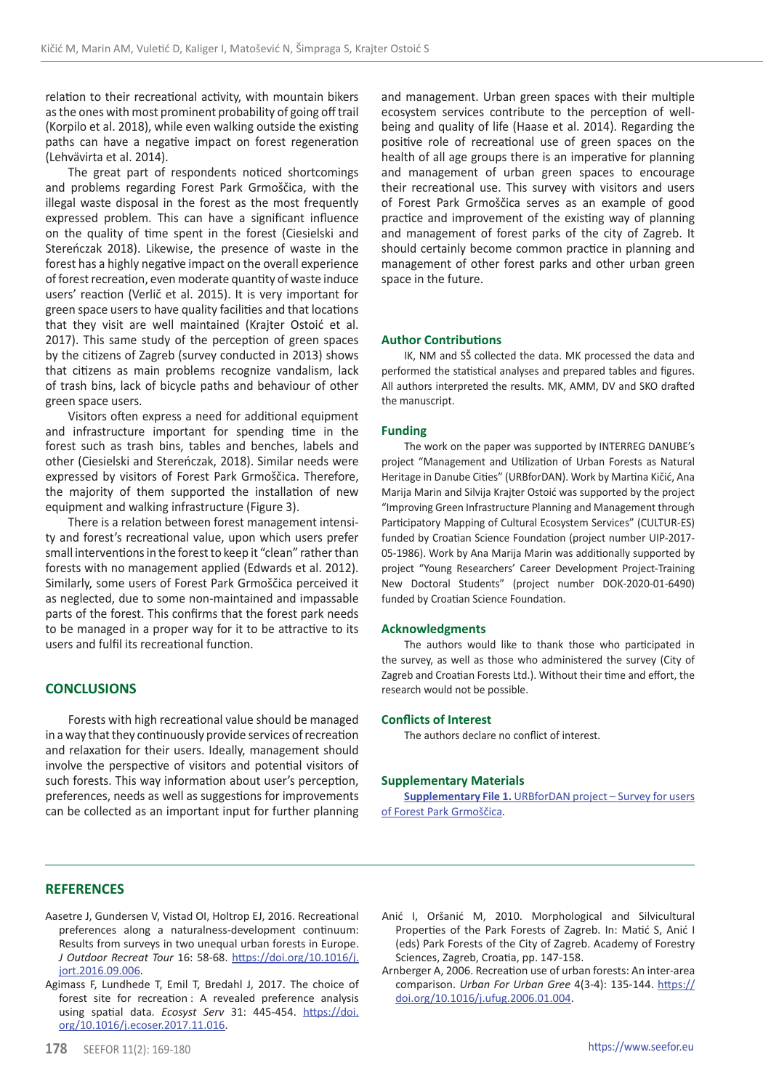relation to their recreational activity, with mountain bikers as the ones with most prominent probability of going off trail (Korpilo et al. 2018), while even walking outside the existing paths can have a negative impact on forest regeneration (Lehvävirta et al. 2014).

The great part of respondents noticed shortcomings and problems regarding Forest Park Grmoščica, with the illegal waste disposal in the forest as the most frequently expressed problem. This can have a significant influence on the quality of time spent in the forest (Ciesielski and Stereńczak 2018). Likewise, the presence of waste in the forest has a highly negative impact on the overall experience of forest recreation, even moderate quantity of waste induce users' reaction (Verlič et al. 2015). It is very important for green space users to have quality facilities and that locations that they visit are well maintained (Krajter Ostoić et al. 2017). This same study of the perception of green spaces by the citizens of Zagreb (survey conducted in 2013) shows that citizens as main problems recognize vandalism, lack of trash bins, lack of bicycle paths and behaviour of other green space users.

Visitors often express a need for additional equipment and infrastructure important for spending time in the forest such as trash bins, tables and benches, labels and other (Ciesielski and Stereńczak, 2018). Similar needs were expressed by visitors of Forest Park Grmoščica. Therefore, the majority of them supported the installation of new equipment and walking infrastructure (Figure 3).

There is a relation between forest management intensity and forest's recreational value, upon which users prefer small interventions in the forest to keep it "clean" rather than forests with no management applied (Edwards et al. 2012). Similarly, some users of Forest Park Grmoščica perceived it as neglected, due to some non-maintained and impassable parts of the forest. This confirms that the forest park needs to be managed in a proper way for it to be attractive to its users and fulfil its recreational function.

# **CONCLUSIONS**

Forests with high recreational value should be managed in a way that they continuously provide services of recreation and relaxation for their users. Ideally, management should involve the perspective of visitors and potential visitors of such forests. This way information about user's perception, preferences, needs as well as suggestions for improvements can be collected as an important input for further planning and management. Urban green spaces with their multiple ecosystem services contribute to the perception of wellbeing and quality of life (Haase et al. 2014). Regarding the positive role of recreational use of green spaces on the health of all age groups there is an imperative for planning and management of urban green spaces to encourage their recreational use. This survey with visitors and users of Forest Park Grmoščica serves as an example of good practice and improvement of the existing way of planning and management of forest parks of the city of Zagreb. It should certainly become common practice in planning and management of other forest parks and other urban green space in the future.

# **Author Contributions**

IK, NM and SŠ collected the data. MK processed the data and performed the statistical analyses and prepared tables and figures. All authors interpreted the results. MK, AMM, DV and SKO drafted the manuscript.

#### **Funding**

The work on the paper was supported by INTERREG DANUBE's project "Management and Utilization of Urban Forests as Natural Heritage in Danube Cities" (URBforDAN). Work by Martina Kičić, Ana Marija Marin and Silvija Krajter Ostoić was supported by the project "Improving Green Infrastructure Planning and Management through Participatory Mapping of Cultural Ecosystem Services" (CULTUR-ES) funded by Croatian Science Foundation (project number UIP-2017- 05-1986). Work by Ana Marija Marin was additionally supported by project "Young Researchers' Career Development Project-Training New Doctoral Students" (project number DOK-2020-01-6490) funded by Croatian Science Foundation.

#### **Acknowledgments**

The authors would like to thank those who participated in the survey, as well as those who administered the survey (City of Zagreb and Croatian Forests Ltd.). Without their time and effort, the research would not be possible.

#### **Conflicts of Interest**

The authors declare no conflict of interest.

## **Supplementary Materials**

**Supplementary File 1.** [URBforDAN project – Survey for users](http://http://seefor.eu/images/arhiva/supp_material/kicic_et_al_supp_2020_1.pdf)  [of Forest Park Grmoščica](http://http://seefor.eu/images/arhiva/supp_material/kicic_et_al_supp_2020_1.pdf).

# **REFERENCES**

- Aasetre J, Gundersen V, Vistad OI, Holtrop EJ, 2016. Recreational preferences along a naturalness-development continuum: Results from surveys in two unequal urban forests in Europe. *J Outdoor Recreat Tour* 16: 58-68. [https://doi.org/10.1016/j.](https://doi.org/10.1016/j.jort.2016.09.006) [jort.2016.09.006.](https://doi.org/10.1016/j.jort.2016.09.006)
- Agimass F, Lundhede T, Emil T, Bredahl J, 2017. The choice of forest site for recreation : A revealed preference analysis using spatial data. *Ecosyst Serv* 31: 445-454. [https://doi.](https://doi.org/10.1016/j.ecoser.2017.11.016) [org/10.1016/j.ecoser.2017.11.016](https://doi.org/10.1016/j.ecoser.2017.11.016).
- Anić I, Oršanić M, 2010. Morphological and Silvicultural Properties of the Park Forests of Zagreb. In: Matić S, Anić I (eds) Park Forests of the City of Zagreb. Academy of Forestry Sciences, Zagreb, Croatia, pp. 147-158.
- Arnberger A, 2006. Recreation use of urban forests: An inter-area comparison. *Urban For Urban Gree* 4(3-4): 135-144. [https://](https://doi.org/10.1016/j.ufug.2006.01.004) [doi.org/10.1016/j.ufug.2006.01.004](https://doi.org/10.1016/j.ufug.2006.01.004).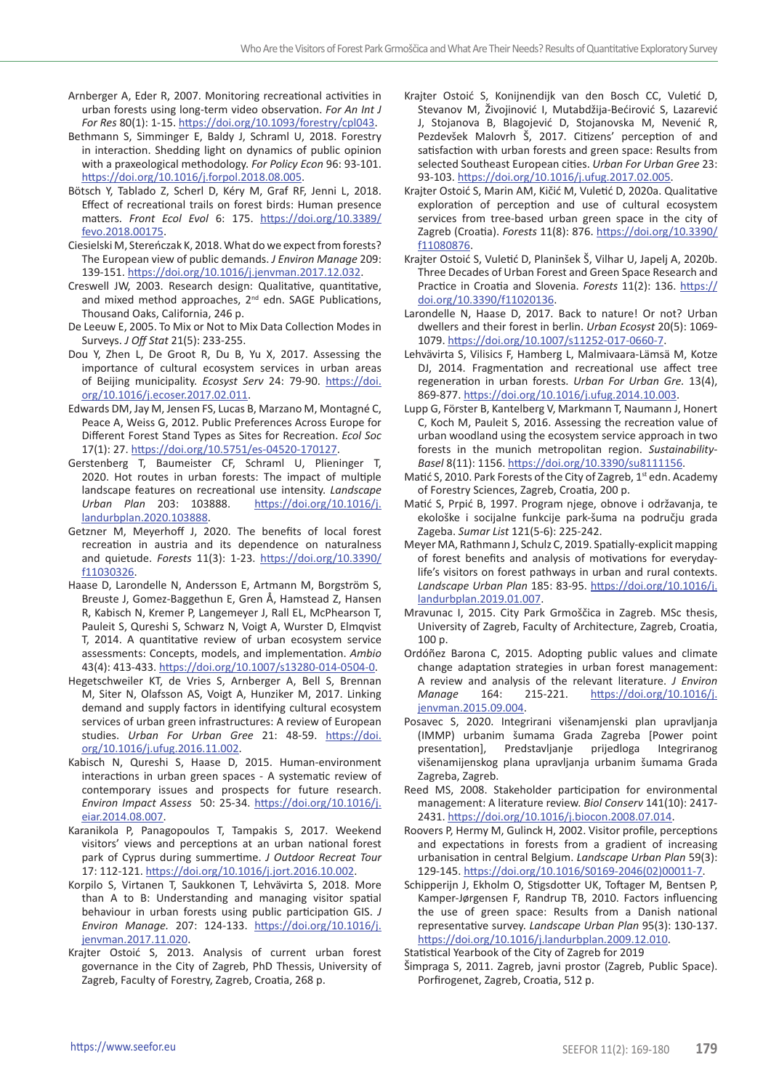- Arnberger A, Eder R, 2007. Monitoring recreational activities in urban forests using long-term video observation. *For An Int J For Res* 80(1): 1-15. [https://doi.org/10.1093/forestry/cpl043.](https://doi.org/10.1093/forestry/cpl043)
- Bethmann S, Simminger E, Baldy J, Schraml U, 2018. Forestry in interaction. Shedding light on dynamics of public opinion with a praxeological methodology. *For Policy Econ* 96: 93-101. <https://doi.org/10.1016/j.forpol.2018.08.005>.
- Bötsch Y, Tablado Z, Scherl D, Kéry M, Graf RF, Jenni L, 2018. Effect of recreational trails on forest birds: Human presence matters. *Front Ecol Evol* 6: 175. [https://doi.org/10.3389/](https://doi.org/10.3389/fevo.2018.00175) [fevo.2018.00175](https://doi.org/10.3389/fevo.2018.00175).
- Ciesielski M, Stereńczak K, 2018. What do we expect from forests? The European view of public demands. *J Environ Manage* 209: 139-151. <https://doi.org/10.1016/j.jenvman.2017.12.032>.
- Creswell JW, 2003. Research design: Qualitative, quantitative, and mixed method approaches, 2<sup>nd</sup> edn. SAGE Publications, Thousand Oaks, California, 246 p.
- De Leeuw E, 2005. To Mix or Not to Mix Data Collection Modes in Surveys. *J Off Stat* 21(5): 233-255.
- Dou Y, Zhen L, De Groot R, Du B, Yu X, 2017. Assessing the importance of cultural ecosystem services in urban areas of Beijing municipality. *Ecosyst Serv* 24: 79-90. [https://doi.](https://doi.org/10.1016/j.ecoser.2017.02.011) [org/10.1016/j.ecoser.2017.02.011.](https://doi.org/10.1016/j.ecoser.2017.02.011)
- Edwards DM, Jay M, Jensen FS, Lucas B, Marzano M, Montagné C, Peace A, Weiss G, 2012. Public Preferences Across Europe for Different Forest Stand Types as Sites for Recreation. *Ecol Soc* 17(1): 27. <https://doi.org/10.5751/es-04520-170127>.
- Gerstenberg T, Baumeister CF, Schraml U, Plieninger T, 2020. Hot routes in urban forests: The impact of multiple landscape features on recreational use intensity. *Landscape Urban Plan* 203: 103888. [https://doi.org/10.1016/j.](https://doi.org/10.1016/j.landurbplan.2020.103888) [landurbplan.2020.103888.](https://doi.org/10.1016/j.landurbplan.2020.103888)
- Getzner M, Meyerhoff J, 2020. The benefits of local forest recreation in austria and its dependence on naturalness and quietude. *Forests* 11(3): 1-23. [https://doi.org/10.3390/](https://doi.org/10.3390/f11030326) [f11030326.](https://doi.org/10.3390/f11030326)
- Haase D, Larondelle N, Andersson E, Artmann M, Borgström S, Breuste J, Gomez-Baggethun E, Gren Å, Hamstead Z, Hansen R, Kabisch N, Kremer P, Langemeyer J, Rall EL, McPhearson T, Pauleit S, Qureshi S, Schwarz N, Voigt A, Wurster D, Elmqvist T, 2014. A quantitative review of urban ecosystem service assessments: Concepts, models, and implementation. *Ambio* 43(4): 413-433.<https://doi.org/10.1007/s13280-014-0504-0>.
- Hegetschweiler KT, de Vries S, Arnberger A, Bell S, Brennan M, Siter N, Olafsson AS, Voigt A, Hunziker M, 2017. Linking demand and supply factors in identifying cultural ecosystem services of urban green infrastructures: A review of European studies. *Urban For Urban Gree* 21: 48-59. [https://doi.](https://doi.org/10.1016/j.ufug.2016.11.002) [org/10.1016/j.ufug.2016.11.002](https://doi.org/10.1016/j.ufug.2016.11.002).
- Kabisch N, Qureshi S, Haase D, 2015. Human-environment interactions in urban green spaces - A systematic review of contemporary issues and prospects for future research. *Environ Impact Assess* 50: 25-34. [https://doi.org/10.1016/j.](https://doi.org/10.1016/j.eiar.2014.08.007) [eiar.2014.08.007.](https://doi.org/10.1016/j.eiar.2014.08.007)
- Karanikola P, Panagopoulos T, Tampakis S, 2017. Weekend visitors' views and perceptions at an urban national forest park of Cyprus during summertime. *J Outdoor Recreat Tour* 17: 112-121.<https://doi.org/10.1016/j.jort.2016.10.002>.
- Korpilo S, Virtanen T, Saukkonen T, Lehvävirta S, 2018. More than A to B: Understanding and managing visitor spatial behaviour in urban forests using public participation GIS. *J Environ Manage.* 207: 124-133. [https://doi.org/10.1016/j.](https://doi.org/10.1016/j.jenvman.2017.11.020) [jenvman.2017.11.020](https://doi.org/10.1016/j.jenvman.2017.11.020).
- Krajter Ostoić S, 2013. Analysis of current urban forest governance in the City of Zagreb, PhD Thessis, University of Zagreb, Faculty of Forestry, Zagreb, Croatia, 268 p.
- Krajter Ostoić S, Konijnendijk van den Bosch CC, Vuletić D, Stevanov M, Živojinović I, Mutabdžija-Bećirović S, Lazarević J, Stojanova B, Blagojević D, Stojanovska M, Nevenić R, Pezdevšek Malovrh Š, 2017. Citizens' perception of and satisfaction with urban forests and green space: Results from selected Southeast European cities. *Urban For Urban Gree* 23: 93-103. <https://doi.org/10.1016/j.ufug.2017.02.005>.
- Krajter Ostoić S, Marin AM, Kičić M, Vuletić D, 2020a. Qualitative exploration of perception and use of cultural ecosystem services from tree-based urban green space in the city of Zagreb (Croatia). *Forests* 11(8): 876. [https://doi.org/10.3390/](https://doi.org/10.3390/f11080876) [f11080876](https://doi.org/10.3390/f11080876).
- Krajter Ostoić S, Vuletić D, Planinšek Š, Vilhar U, Japelj A, 2020b. Three Decades of Urban Forest and Green Space Research and Practice in Croatia and Slovenia. *Forests* 11(2): 136. [https://](https://doi.org/10.3390/f11020136) [doi.org/10.3390/f11020136.](https://doi.org/10.3390/f11020136)
- Larondelle N, Haase D, 2017. Back to nature! Or not? Urban dwellers and their forest in berlin. *Urban Ecosyst* 20(5): 1069- 1079. <https://doi.org/10.1007/s11252-017-0660-7>.
- Lehvävirta S, Vilisics F, Hamberg L, Malmivaara-Lämsä M, Kotze DJ, 2014. Fragmentation and recreational use affect tree regeneration in urban forests. *Urban For Urban Gre.* 13(4), 869-877.<https://doi.org/10.1016/j.ufug.2014.10.003>.
- Lupp G, Förster B, Kantelberg V, Markmann T, Naumann J, Honert C, Koch M, Pauleit S, 2016. Assessing the recreation value of urban woodland using the ecosystem service approach in two forests in the munich metropolitan region. *Sustainability-Basel* 8(11): 1156. [https://doi.org/10.3390/su8111156.](https://doi.org/10.3390/su8111156)
- Matić S, 2010. Park Forests of the City of Zagreb, 1st edn. Academy of Forestry Sciences, Zagreb, Croatia, 200 p.
- Matić S, Prpić B, 1997. Program njege, obnove i održavanja, te ekološke i socijalne funkcije park-šuma na području grada Zageba. *Sumar List* 121(5-6): 225-242.
- Meyer MA, Rathmann J, Schulz C, 2019. Spatially-explicit mapping of forest benefits and analysis of motivations for everydaylife's visitors on forest pathways in urban and rural contexts. *Landscape Urban Plan* 185: 83-95. [https://doi.org/10.1016/j.](https://doi.org/10.1016/j.landurbplan.2019.01.007) [landurbplan.2019.01.007.](https://doi.org/10.1016/j.landurbplan.2019.01.007)
- Mravunac I, 2015. City Park Grmoščica in Zagreb. MSc thesis, University of Zagreb, Faculty of Architecture, Zagreb, Croatia, 100 p.
- Ordóñez Barona C, 2015. Adopting public values and climate change adaptation strategies in urban forest management: A review and analysis of the relevant literature. *J Environ Manage* 164: 215-221. [https://doi.org/10.1016/j.](https://doi.org/10.1016/j.jenvman.2015.09.004) [jenvman.2015.09.004.](https://doi.org/10.1016/j.jenvman.2015.09.004)
- Posavec S, 2020. Integrirani višenamjenski plan upravljanja (IMMP) urbanim šumama Grada Zagreba [Power point presentation], Predstavljanje prijedloga Integriranog višenamijenskog plana upravljanja urbanim šumama Grada Zagreba, Zagreb.
- Reed MS, 2008. Stakeholder participation for environmental management: A literature review. *Biol Conserv* 141(10): 2417- 2431. <https://doi.org/10.1016/j.biocon.2008.07.014>.
- Roovers P, Hermy M, Gulinck H, 2002. Visitor profile, perceptions and expectations in forests from a gradient of increasing urbanisation in central Belgium. *Landscape Urban Plan* 59(3): 129-145. [https://doi.org/10.1016/S0169-2046\(02\)00011-7](https://doi.org/10.1016/S0169-2046%2802%2900011-7).
- Schipperijn J, Ekholm O, Stigsdotter UK, Toftager M, Bentsen P, Kamper-Jørgensen F, Randrup TB, 2010. Factors influencing the use of green space: Results from a Danish national representative survey. *Landscape Urban Plan* 95(3): 130-137. [https://doi.org/10.1016/j.landurbplan.2009.12.010.](https://doi.org/10.1016/j.landurbplan.2009.12.010)

Statistical Yearbook of the City of Zagreb for 2019

Šimpraga S, 2011. Zagreb, javni prostor (Zagreb, Public Space). Porfirogenet, Zagreb, Croatia, 512 p.